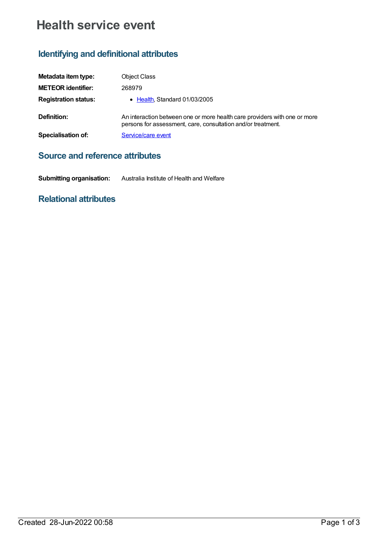# **Health service event**

## **Identifying and definitional attributes**

| Metadata item type:         | <b>Object Class</b>                                                                                                                       |
|-----------------------------|-------------------------------------------------------------------------------------------------------------------------------------------|
| <b>METEOR identifier:</b>   | 268979                                                                                                                                    |
| <b>Registration status:</b> | • Health, Standard 01/03/2005                                                                                                             |
| Definition:                 | An interaction between one or more health care providers with one or more<br>persons for assessment, care, consultation and/or treatment. |
| Specialisation of:          | Service/care event                                                                                                                        |

### **Source and reference attributes**

**Submitting organisation:** Australia Institute of Health and Welfare

### **Relational attributes**